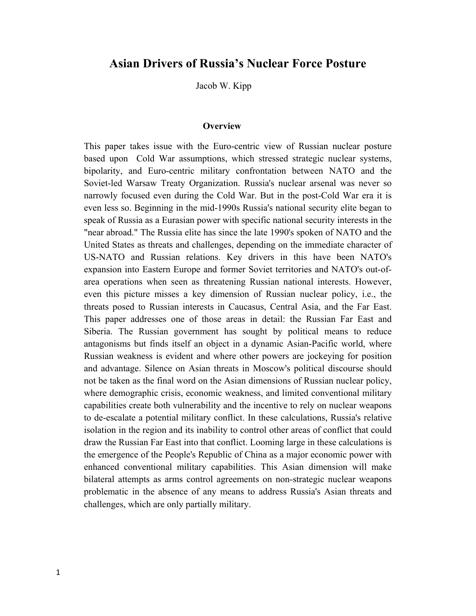# **Asian Drivers of Russia's Nuclear Force Posture**

Jacob W. Kipp

#### **Overview**

This paper takes issue with the Euro-centric view of Russian nuclear posture based upon Cold War assumptions, which stressed strategic nuclear systems, bipolarity, and Euro-centric military confrontation between NATO and the Soviet-led Warsaw Treaty Organization. Russia's nuclear arsenal was never so narrowly focused even during the Cold War. But in the post-Cold War era it is even less so. Beginning in the mid-1990s Russia's national security elite began to speak of Russia as a Eurasian power with specific national security interests in the "near abroad." The Russia elite has since the late 1990's spoken of NATO and the United States as threats and challenges, depending on the immediate character of US-NATO and Russian relations. Key drivers in this have been NATO's expansion into Eastern Europe and former Soviet territories and NATO's out-ofarea operations when seen as threatening Russian national interests. However, even this picture misses a key dimension of Russian nuclear policy, i.e., the threats posed to Russian interests in Caucasus, Central Asia, and the Far East. This paper addresses one of those areas in detail: the Russian Far East and Siberia. The Russian government has sought by political means to reduce antagonisms but finds itself an object in a dynamic Asian-Pacific world, where Russian weakness is evident and where other powers are jockeying for position and advantage. Silence on Asian threats in Moscow's political discourse should not be taken as the final word on the Asian dimensions of Russian nuclear policy, where demographic crisis, economic weakness, and limited conventional military capabilities create both vulnerability and the incentive to rely on nuclear weapons to de-escalate a potential military conflict. In these calculations, Russia's relative isolation in the region and its inability to control other areas of conflict that could draw the Russian Far East into that conflict. Looming large in these calculations is the emergence of the People's Republic of China as a major economic power with enhanced conventional military capabilities. This Asian dimension will make bilateral attempts as arms control agreements on non-strategic nuclear weapons problematic in the absence of any means to address Russia's Asian threats and challenges, which are only partially military.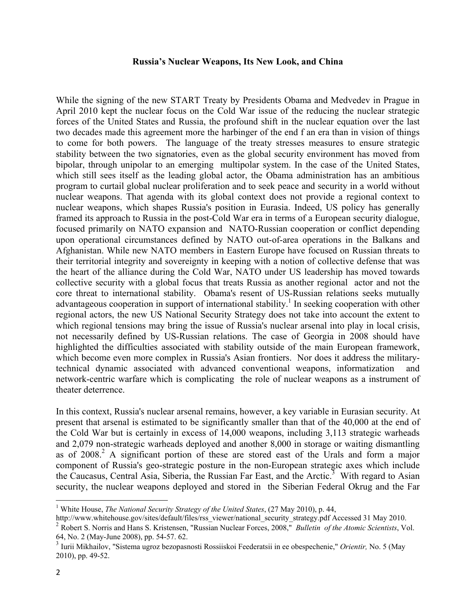#### **Russia's Nuclear Weapons, Its New Look, and China**

While the signing of the new START Treaty by Presidents Obama and Medvedev in Prague in April 2010 kept the nuclear focus on the Cold War issue of the reducing the nuclear strategic forces of the United States and Russia, the profound shift in the nuclear equation over the last two decades made this agreement more the harbinger of the end f an era than in vision of things to come for both powers. The language of the treaty stresses measures to ensure strategic stability between the two signatories, even as the global security environment has moved from bipolar, through unipolar to an emerging multipolar system. In the case of the United States, which still sees itself as the leading global actor, the Obama administration has an ambitious program to curtail global nuclear proliferation and to seek peace and security in a world without nuclear weapons. That agenda with its global context does not provide a regional context to nuclear weapons, which shapes Russia's position in Eurasia. Indeed, US policy has generally framed its approach to Russia in the post-Cold War era in terms of a European security dialogue, focused primarily on NATO expansion and NATO-Russian cooperation or conflict depending upon operational circumstances defined by NATO out-of-area operations in the Balkans and Afghanistan. While new NATO members in Eastern Europe have focused on Russian threats to their territorial integrity and sovereignty in keeping with a notion of collective defense that was the heart of the alliance during the Cold War, NATO under US leadership has moved towards collective security with a global focus that treats Russia as another regional actor and not the core threat to international stability. Obama's resent of US-Russian relations seeks mutually advantageous cooperation in support of international stability.<sup>1</sup> In seeking cooperation with other regional actors, the new US National Security Strategy does not take into account the extent to which regional tensions may bring the issue of Russia's nuclear arsenal into play in local crisis, not necessarily defined by US-Russian relations. The case of Georgia in 2008 should have highlighted the difficulties associated with stability outside of the main European framework, which become even more complex in Russia's Asian frontiers. Nor does it address the militarytechnical dynamic associated with advanced conventional weapons, informatization and network-centric warfare which is complicating the role of nuclear weapons as a instrument of theater deterrence.

In this context, Russia's nuclear arsenal remains, however, a key variable in Eurasian security. At present that arsenal is estimated to be significantly smaller than that of the 40,000 at the end of the Cold War but is certainly in excess of 14,000 weapons, including 3,113 strategic warheads and 2,079 non-strategic warheads deployed and another 8,000 in storage or waiting dismantling as of 2008.<sup>2</sup> A significant portion of these are stored east of the Urals and form a major component of Russia's geo-strategic posture in the non-European strategic axes which include the Caucasus, Central Asia, Siberia, the Russian Far East, and the Arctic.<sup>3</sup> With regard to Asian security, the nuclear weapons deployed and stored in the Siberian Federal Okrug and the Far

<sup>&</sup>lt;sup>1</sup> White House, *The National Security Strategy of the United States*, (27 May 2010), p. 44,

http://www.whitehouse.gov/sites/default/files/rss\_viewer/national\_security\_strategy.pdf Accessed 31 May 2010. <sup>2</sup> Robert S. Norris and Hans S. Kristensen, "Russian Nuclear Forces, 2008," *Bulletin of the Atomic Scientists*, Vol. 64, No. 2 (May-June 2008), pp. 54-57. 62.

<sup>3</sup> Iurii Mikhailov, "Sistema ugroz bezopasnosti Rossiiskoi Feederatsii in ee obespechenie," *Orientir,* No. 5 (May 2010), pp. 49-52.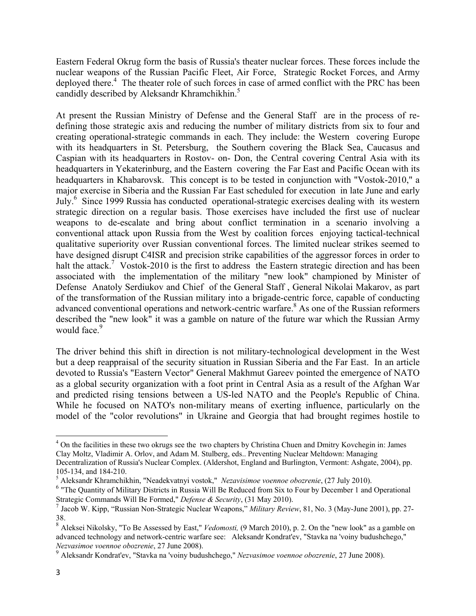Eastern Federal Okrug form the basis of Russia's theater nuclear forces. These forces include the nuclear weapons of the Russian Pacific Fleet, Air Force, Strategic Rocket Forces, and Army deployed there.<sup>4</sup> The theater role of such forces in case of armed conflict with the PRC has been candidly described by Aleksandr Khramchikhin.<sup>5</sup>

At present the Russian Ministry of Defense and the General Staff are in the process of redefining those strategic axis and reducing the number of military districts from six to four and creating operational-strategic commands in each. They include: the Western covering Europe with its headquarters in St. Petersburg, the Southern covering the Black Sea, Caucasus and Caspian with its headquarters in Rostov- on- Don, the Central covering Central Asia with its headquarters in Yekaterinburg, and the Eastern covering the Far East and Pacific Ocean with its headquarters in Khabarovsk. This concept is to be tested in conjunction with "Vostok-2010," a major exercise in Siberia and the Russian Far East scheduled for execution in late June and early July.<sup>6</sup> Since 1999 Russia has conducted operational-strategic exercises dealing with its western strategic direction on a regular basis. Those exercises have included the first use of nuclear weapons to de-escalate and bring about conflict termination in a scenario involving a conventional attack upon Russia from the West by coalition forces enjoying tactical-technical qualitative superiority over Russian conventional forces. The limited nuclear strikes seemed to have designed disrupt C4ISR and precision strike capabilities of the aggressor forces in order to halt the attack.<sup>7</sup> Vostok-2010 is the first to address the Eastern strategic direction and has been associated with the implementation of the military "new look" championed by Minister of Defense Anatoly Serdiukov and Chief of the General Staff , General Nikolai Makarov, as part of the transformation of the Russian military into a brigade-centric force, capable of conducting advanced conventional operations and network-centric warfare.<sup>8</sup> As one of the Russian reformers described the "new look" it was a gamble on nature of the future war which the Russian Army would face.<sup>9</sup>

The driver behind this shift in direction is not military-technological development in the West but a deep reappraisal of the security situation in Russian Siberia and the Far East. In an article devoted to Russia's "Eastern Vector" General Makhmut Gareev pointed the emergence of NATO as a global security organization with a foot print in Central Asia as a result of the Afghan War and predicted rising tensions between a US-led NATO and the People's Republic of China. While he focused on NATO's non-military means of exerting influence, particularly on the model of the "color revolutions" in Ukraine and Georgia that had brought regimes hostile to

<sup>&</sup>lt;sup>4</sup> On the facilities in these two okrugs see the two chapters by Christina Chuen and Dmitry Kovchegin in: James Clay Moltz, Vladimir A. Orlov, and Adam M. Stulberg, eds.. Preventing Nuclear Meltdown: Managing Decentralization of Russia's Nuclear Complex. (Aldershot, England and Burlington, Vermont: Ashgate, 2004), pp.

<sup>105-134,</sup> and 184-210.

<sup>5</sup> Aleksandr Khramchikhin, "Neadekvatnyi vostok," *Nezavisimoe voennoe obozrenie*, (27 July 2010).

<sup>6</sup> "The Quantity of Military Districts in Russia Will Be Reduced from Six to Four by December 1 and Operational Strategic Commands Will Be Formed," *Defense & Security*, (31 May 2010).

<sup>7</sup> Jacob W. Kipp, "Russian Non-Strategic Nuclear Weapons," *Military Review*, 81, No. 3 (May-June 2001), pp. 27- 38.

<sup>8</sup> Aleksei Nikolsky, "To Be Assessed by East," *Vedomosti,* (9 March 2010), p. 2. On the "new look" as a gamble on advanced technology and network-centric warfare see: Aleksandr Kondrat'ev, "Stavka na 'voiny budushchego," *Nezvasimoe voennoe obozrenie*, 27 June 2008).

<sup>9</sup> Aleksandr Kondrat'ev, "Stavka na 'voiny budushchego," *Nezvasimoe voennoe obozrenie*, 27 June 2008).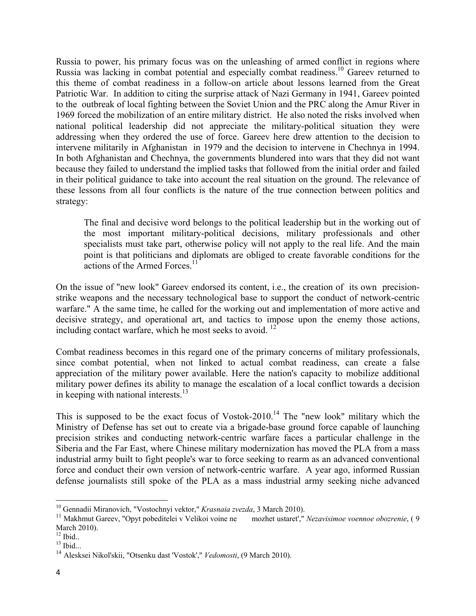Russia to power, his primary focus was on the unleashing of armed conflict in regions where Russia was lacking in combat potential and especially combat readiness.10 Gareev returned to this theme of combat readiness in a follow-on article about lessons learned from the Great Patriotic War. In addition to citing the surprise attack of Nazi Germany in 1941, Gareev pointed to the outbreak of local fighting between the Soviet Union and the PRC along the Amur River in 1969 forced the mobilization of an entire military district. He also noted the risks involved when national political leadership did not appreciate the military-political situation they were addressing when they ordered the use of force. Gareev here drew attention to the decision to intervene militarily in Afghanistan in 1979 and the decision to intervene in Chechnya in 1994. In both Afghanistan and Chechnya, the governments blundered into wars that they did not want because they failed to understand the implied tasks that followed from the initial order and failed in their political guidance to take into account the real situation on the ground. The relevance of these lessons from all four conflicts is the nature of the true connection between politics and strategy:

 The final and decisive word belongs to the political leadership but in the working out of the most important military-political decisions, military professionals and other specialists must take part, otherwise policy will not apply to the real life. And the main point is that politicians and diplomats are obliged to create favorable conditions for the actions of the Armed Forces.<sup>11</sup>

On the issue of "new look" Gareev endorsed its content, i.e., the creation of its own precisionstrike weapons and the necessary technological base to support the conduct of network-centric warfare." A the same time, he called for the working out and implementation of more active and decisive strategy, and operational art, and tactics to impose upon the enemy those actions, including contact warfare, which he most seeks to avoid.  $^{12}$ 

Combat readiness becomes in this regard one of the primary concerns of military professionals, since combat potential, when not linked to actual combat readiness, can create a false appreciation of the military power available. Here the nation's capacity to mobilize additional military power defines its ability to manage the escalation of a local conflict towards a decision in keeping with national interests. $^{13}$ 

This is supposed to be the exact focus of Vostok-2010.<sup>14</sup> The "new look" military which the Ministry of Defense has set out to create via a brigade-base ground force capable of launching precision strikes and conducting network-centric warfare faces a particular challenge in the Siberia and the Far East, where Chinese military modernization has moved the PLA from a mass industrial army built to fight people's war to force seeking to rearm as an advanced conventional force and conduct their own version of network-centric warfare. A year ago, informed Russian defense journalists still spoke of the PLA as a mass industrial army seeking niche advanced

 10 Gennadii Miranovich, "Vostochnyi vektor," *Krasnaia zvezda*, 3 March 2010).

<sup>&</sup>lt;sup>11</sup> Makhmut Gareev, "Opyt pobeditelei v Velikoi voine ne mozhet ustaret'," *Nezavisimoe voennoe obozrenie*, (9 March 2010).

 $12$  Ibid..

 $13$  Ibid...

<sup>14</sup> Alesksei Nikol'skii, "Otsenku dast 'Vostok'," *Vedomosti*, (9 March 2010).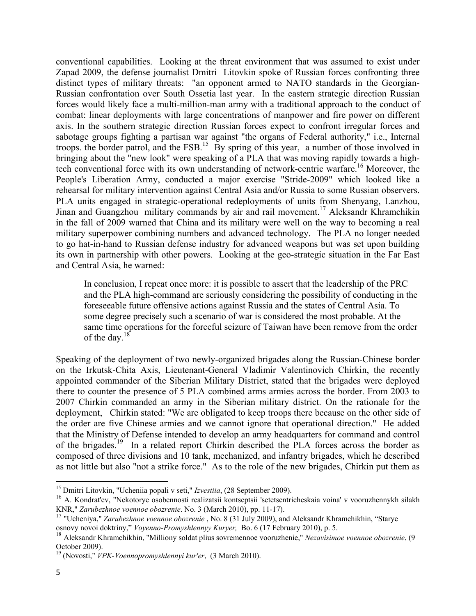conventional capabilities. Looking at the threat environment that was assumed to exist under Zapad 2009, the defense journalist Dmitri Litovkin spoke of Russian forces confronting three distinct types of military threats: "an opponent armed to NATO standards in the Georgian-Russian confrontation over South Ossetia last year. In the eastern strategic direction Russian forces would likely face a multi-million-man army with a traditional approach to the conduct of combat: linear deployments with large concentrations of manpower and fire power on different axis. In the southern strategic direction Russian forces expect to confront irregular forces and sabotage groups fighting a partisan war against "the organs of Federal authority," i.e., Internal troops. the border patrol, and the FSB.15 By spring of this year, a number of those involved in bringing about the "new look" were speaking of a PLA that was moving rapidly towards a hightech conventional force with its own understanding of network-centric warfare.16 Moreover, the People's Liberation Army, conducted a major exercise "Stride-2009" which looked like a rehearsal for military intervention against Central Asia and/or Russia to some Russian observers. PLA units engaged in strategic-operational redeployments of units from Shenyang, Lanzhou, Jinan and Guangzhou military commands by air and rail movement.<sup>17</sup> Aleksandr Khramchikin in the fall of 2009 warned that China and its military were well on the way to becoming a real military superpower combining numbers and advanced technology. The PLA no longer needed to go hat-in-hand to Russian defense industry for advanced weapons but was set upon building its own in partnership with other powers. Looking at the geo-strategic situation in the Far East and Central Asia, he warned:

 In conclusion, I repeat once more: it is possible to assert that the leadership of the PRC and the PLA high-command are seriously considering the possibility of conducting in the foreseeable future offensive actions against Russia and the states of Central Asia. To some degree precisely such a scenario of war is considered the most probable. At the same time operations for the forceful seizure of Taiwan have been remove from the order of the day. $18$ 

Speaking of the deployment of two newly-organized brigades along the Russian-Chinese border on the Irkutsk-Chita Axis, Lieutenant-General Vladimir Valentinovich Chirkin, the recently appointed commander of the Siberian Military District, stated that the brigades were deployed there to counter the presence of 5 PLA combined arms armies across the border. From 2003 to 2007 Chirkin commanded an army in the Siberian military district. On the rationale for the deployment, Chirkin stated: "We are obligated to keep troops there because on the other side of the order are five Chinese armies and we cannot ignore that operational direction." He added that the Ministry of Defense intended to develop an army headquarters for command and control of the brigades.<sup>19</sup> In a related report Chirkin described the PLA forces across the border as composed of three divisions and 10 tank, mechanized, and infantry brigades, which he described as not little but also "not a strike force." As to the role of the new brigades, Chirkin put them as

<sup>15</sup> Dmitri Litovkin, "Ucheniia popali v seti," *Izvestiia*, (28 September 2009).

<sup>&</sup>lt;sup>16</sup> A. Kondrat'ev, "Nekotorye osobennosti realizatsii kontseptsii 'setetsentricheskaia voina' v vooruzhennykh silakh KNR," *Zarubezhnoe voennoe obozrenie*. No. 3 (March 2010), pp. 11-17).

<sup>17</sup> "Ucheniya," *Zarubezhnoe voennoe obozrenie* , No. 8 (31 July 2009), and Aleksandr Khramchikhin, "Starye osnovy novoi doktriny," *Voyenno-Promyshlennyy Kuryer,* Bo. 6 (17 February 2010), p. 5.

<sup>18</sup> Aleksandr Khramchikhin, "Milliony soldat plius sovremennoe vooruzhenie," *Nezavisimoe voennoe obozrenie*, (9 October 2009).

<sup>19 (</sup>Novosti," *VPK-Voennopromyshlennyi kur'er*, (3 March 2010).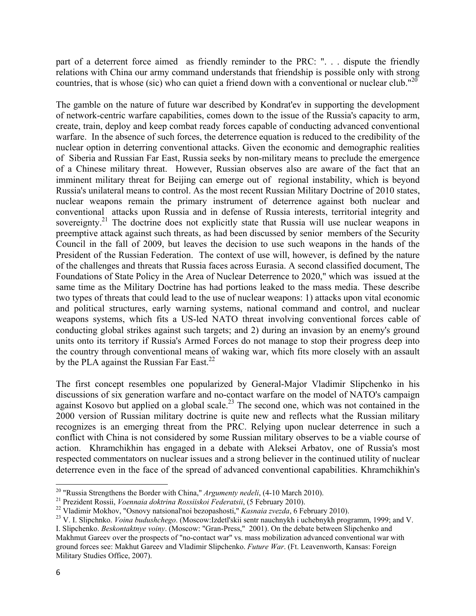part of a deterrent force aimed as friendly reminder to the PRC: ". . . dispute the friendly relations with China our army command understands that friendship is possible only with strong countries, that is whose (sic) who can quiet a friend down with a conventional or nuclear club."<sup>20</sup>

The gamble on the nature of future war described by Kondrat'ev in supporting the development of network-centric warfare capabilities, comes down to the issue of the Russia's capacity to arm, create, train, deploy and keep combat ready forces capable of conducting advanced conventional warfare. In the absence of such forces, the deterrence equation is reduced to the credibility of the nuclear option in deterring conventional attacks. Given the economic and demographic realities of Siberia and Russian Far East, Russia seeks by non-military means to preclude the emergence of a Chinese military threat. However, Russian observes also are aware of the fact that an imminent military threat for Beijing can emerge out of regional instability, which is beyond Russia's unilateral means to control. As the most recent Russian Military Doctrine of 2010 states, nuclear weapons remain the primary instrument of deterrence against both nuclear and conventional attacks upon Russia and in defense of Russia interests, territorial integrity and sovereignty.<sup>21</sup> The doctrine does not explicitly state that Russia will use nuclear weapons in preemptive attack against such threats, as had been discussed by senior members of the Security Council in the fall of 2009, but leaves the decision to use such weapons in the hands of the President of the Russian Federation. The context of use will, however, is defined by the nature of the challenges and threats that Russia faces across Eurasia. A second classified document, The Foundations of State Policy in the Area of Nuclear Deterrence to 2020," which was issued at the same time as the Military Doctrine has had portions leaked to the mass media. These describe two types of threats that could lead to the use of nuclear weapons: 1) attacks upon vital economic and political structures, early warning systems, national command and control, and nuclear weapons systems, which fits a US-led NATO threat involving conventional forces cable of conducting global strikes against such targets; and 2) during an invasion by an enemy's ground units onto its territory if Russia's Armed Forces do not manage to stop their progress deep into the country through conventional means of waking war, which fits more closely with an assault by the PLA against the Russian Far East.<sup>22</sup>

The first concept resembles one popularized by General-Major Vladimir Slipchenko in his discussions of six generation warfare and no-contact warfare on the model of NATO's campaign against Kosovo but applied on a global scale.<sup>23</sup> The second one, which was not contained in the 2000 version of Russian military doctrine is quite new and reflects what the Russian military recognizes is an emerging threat from the PRC. Relying upon nuclear deterrence in such a conflict with China is not considered by some Russian military observes to be a viable course of action. Khramchikhin has engaged in a debate with Aleksei Arbatov, one of Russia's most respected commentators on nuclear issues and a strong believer in the continued utility of nuclear deterrence even in the face of the spread of advanced conventional capabilities. Khramchikhin's

<sup>&</sup>lt;sup>20</sup> "Russia Strengthens the Border with China," *Argumenty nedeli*,  $(4-10$  March 2010).

<sup>&</sup>lt;sup>21</sup> Prezident Rossii, *Voennaia doktrina Rossiiskoi Federatsii*, (5 February 2010).<br><sup>22</sup> Vladimir Mokhov, "Osnovy natsional'noi bezopashosti," *Kasnaia zvezda*, 6 February 2010).<br><sup>23</sup> V. I. Slipchnko. *Voina budushchego* 

I. Slipchenko. *Beskontaktnye voiny*. (Moscow: "Gran-Press," 2001). On the debate between Slipchenko and Makhmut Gareev over the prospects of "no-contact war" vs. mass mobilization advanced conventional war with ground forces see: Makhut Gareev and Vladimir Slipchenko. *Future War*. (Ft. Leavenworth, Kansas: Foreign Military Studies Office, 2007).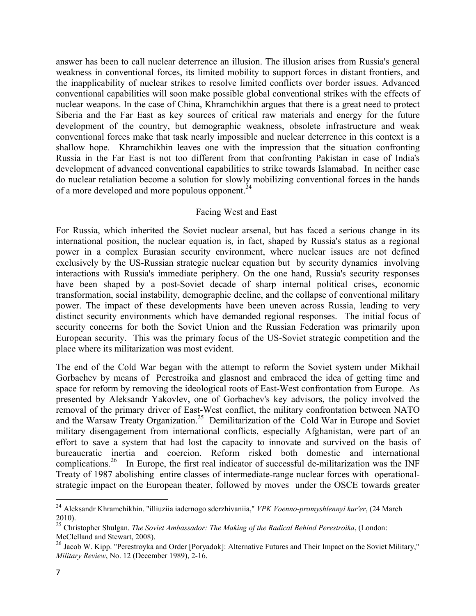answer has been to call nuclear deterrence an illusion. The illusion arises from Russia's general weakness in conventional forces, its limited mobility to support forces in distant frontiers, and the inapplicability of nuclear strikes to resolve limited conflicts over border issues. Advanced conventional capabilities will soon make possible global conventional strikes with the effects of nuclear weapons. In the case of China, Khramchikhin argues that there is a great need to protect Siberia and the Far East as key sources of critical raw materials and energy for the future development of the country, but demographic weakness, obsolete infrastructure and weak conventional forces make that task nearly impossible and nuclear deterrence in this context is a shallow hope. Khramchikhin leaves one with the impression that the situation confronting Russia in the Far East is not too different from that confronting Pakistan in case of India's development of advanced conventional capabilities to strike towards Islamabad. In neither case do nuclear retaliation become a solution for slowly mobilizing conventional forces in the hands of a more developed and more populous opponent.<sup>24</sup>

## Facing West and East

For Russia, which inherited the Soviet nuclear arsenal, but has faced a serious change in its international position, the nuclear equation is, in fact, shaped by Russia's status as a regional power in a complex Eurasian security environment, where nuclear issues are not defined exclusively by the US-Russian strategic nuclear equation but by security dynamics involving interactions with Russia's immediate periphery. On the one hand, Russia's security responses have been shaped by a post-Soviet decade of sharp internal political crises, economic transformation, social instability, demographic decline, and the collapse of conventional military power. The impact of these developments have been uneven across Russia, leading to very distinct security environments which have demanded regional responses. The initial focus of security concerns for both the Soviet Union and the Russian Federation was primarily upon European security. This was the primary focus of the US-Soviet strategic competition and the place where its militarization was most evident.

The end of the Cold War began with the attempt to reform the Soviet system under Mikhail Gorbachev by means of Perestroika and glasnost and embraced the idea of getting time and space for reform by removing the ideological roots of East-West confrontation from Europe. As presented by Aleksandr Yakovlev, one of Gorbachev's key advisors, the policy involved the removal of the primary driver of East-West conflict, the military confrontation between NATO and the Warsaw Treaty Organization.<sup>25</sup> Demilitarization of the Cold War in Europe and Soviet military disengagement from international conflicts, especially Afghanistan, were part of an effort to save a system that had lost the capacity to innovate and survived on the basis of bureaucratic inertia and coercion. Reform risked both domestic and international complications.<sup>26</sup> In Europe, the first real indicator of successful de-militarization was the INF Treaty of 1987 abolishing entire classes of intermediate-range nuclear forces with operationalstrategic impact on the European theater, followed by moves under the OSCE towards greater

<sup>24</sup> Aleksandr Khramchikhin. "illiuziia iadernogo sderzhivaniia," *VPK Voenno-promyshlennyi kur'er*, (24 March 2010).

<sup>25</sup> Christopher Shulgan. *The Soviet Ambassador: The Making of the Radical Behind Perestroika*, (London: McClelland and Stewart, 2008).

<sup>&</sup>lt;sup>26</sup> Jacob W. Kipp. "Perestroyka and Order [Poryadok]: Alternative Futures and Their Impact on the Soviet Military," *Military Review*, No. 12 (December 1989), 2-16.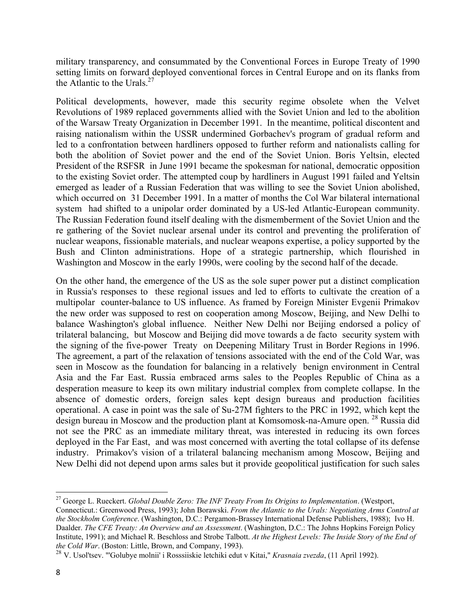military transparency, and consummated by the Conventional Forces in Europe Treaty of 1990 setting limits on forward deployed conventional forces in Central Europe and on its flanks from the Atlantic to the Urals.<sup>27</sup>

Political developments, however, made this security regime obsolete when the Velvet Revolutions of 1989 replaced governments allied with the Soviet Union and led to the abolition of the Warsaw Treaty Organization in December 1991. In the meantime, political discontent and raising nationalism within the USSR undermined Gorbachev's program of gradual reform and led to a confrontation between hardliners opposed to further reform and nationalists calling for both the abolition of Soviet power and the end of the Soviet Union. Boris Yeltsin, elected President of the RSFSR in June 1991 became the spokesman for national, democratic opposition to the existing Soviet order. The attempted coup by hardliners in August 1991 failed and Yeltsin emerged as leader of a Russian Federation that was willing to see the Soviet Union abolished, which occurred on 31 December 1991. In a matter of months the Col War bilateral international system had shifted to a unipolar order dominated by a US-led Atlantic-European community. The Russian Federation found itself dealing with the dismemberment of the Soviet Union and the re gathering of the Soviet nuclear arsenal under its control and preventing the proliferation of nuclear weapons, fissionable materials, and nuclear weapons expertise, a policy supported by the Bush and Clinton administrations. Hope of a strategic partnership, which flourished in Washington and Moscow in the early 1990s, were cooling by the second half of the decade.

On the other hand, the emergence of the US as the sole super power put a distinct complication in Russia's responses to these regional issues and led to efforts to cultivate the creation of a multipolar counter-balance to US influence. As framed by Foreign Minister Evgenii Primakov the new order was supposed to rest on cooperation among Moscow, Beijing, and New Delhi to balance Washington's global influence. Neither New Delhi nor Beijing endorsed a policy of trilateral balancing, but Moscow and Beijing did move towards a de facto security system with the signing of the five-power Treaty on Deepening Military Trust in Border Regions in 1996. The agreement, a part of the relaxation of tensions associated with the end of the Cold War, was seen in Moscow as the foundation for balancing in a relatively benign environment in Central Asia and the Far East. Russia embraced arms sales to the Peoples Republic of China as a desperation measure to keep its own military industrial complex from complete collapse. In the absence of domestic orders, foreign sales kept design bureaus and production facilities operational. A case in point was the sale of Su-27M fighters to the PRC in 1992, which kept the design bureau in Moscow and the production plant at Komsomosk-na-Amure open. 28 Russia did not see the PRC as an immediate military threat, was interested in reducing its own forces deployed in the Far East, and was most concerned with averting the total collapse of its defense industry. Primakov's vision of a trilateral balancing mechanism among Moscow, Beijing and New Delhi did not depend upon arms sales but it provide geopolitical justification for such sales

 27 George L. Rueckert. *Global Double Zero: The INF Treaty From Its Origins to Implementation*. (Westport, Connecticut.: Greenwood Press, 1993); John Borawski. *From the Atlantic to the Urals: Negotiating Arms Control at the Stockholm Conference*. (Washington, D.C.: Pergamon-Brassey International Defense Publishers, 1988); Ivo H. Daalder. *The CFE Treaty: An Overview and an Assessment*. (Washington, D.C.: The Johns Hopkins Foreign Policy Institute, 1991); and Michael R. Beschloss and Strobe Talbott. *At the Highest Levels: The Inside Story of the End of the Cold War*. (Boston: Little, Brown, and Company, 1993).

<sup>28</sup> V. Usol'tsev. "'Golubye molnii' i Rosssiiskie letchiki edut v Kitai," *Krasnaia zvezda*, (11 April 1992).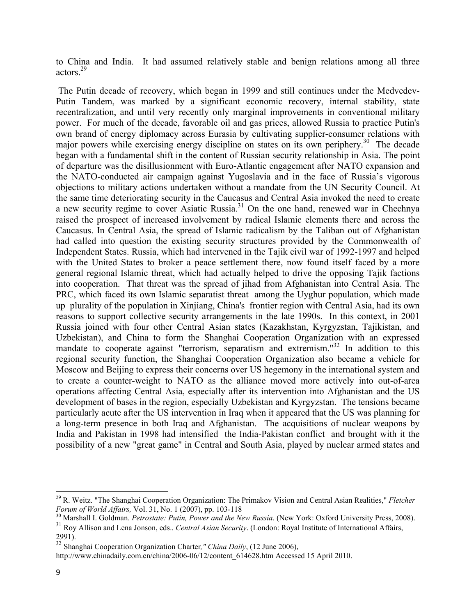to China and India. It had assumed relatively stable and benign relations among all three actors.29

The Putin decade of recovery, which began in 1999 and still continues under the Medvedev-Putin Tandem, was marked by a significant economic recovery, internal stability, state recentralization, and until very recently only marginal improvements in conventional military power. For much of the decade, favorable oil and gas prices, allowed Russia to practice Putin's own brand of energy diplomacy across Eurasia by cultivating supplier-consumer relations with major powers while exercising energy discipline on states on its own periphery.<sup>30</sup> The decade began with a fundamental shift in the content of Russian security relationship in Asia. The point of departure was the disillusionment with Euro-Atlantic engagement after NATO expansion and the NATO-conducted air campaign against Yugoslavia and in the face of Russia's vigorous objections to military actions undertaken without a mandate from the UN Security Council. At the same time deteriorating security in the Caucasus and Central Asia invoked the need to create a new security regime to cover Asiatic Russia.<sup>31</sup> On the one hand, renewed war in Chechnya raised the prospect of increased involvement by radical Islamic elements there and across the Caucasus. In Central Asia, the spread of Islamic radicalism by the Taliban out of Afghanistan had called into question the existing security structures provided by the Commonwealth of Independent States. Russia, which had intervened in the Tajik civil war of 1992-1997 and helped with the United States to broker a peace settlement there, now found itself faced by a more general regional Islamic threat, which had actually helped to drive the opposing Tajik factions into cooperation. That threat was the spread of jihad from Afghanistan into Central Asia. The PRC, which faced its own Islamic separatist threat among the Uyghur population, which made up plurality of the population in Xinjiang, China's frontier region with Central Asia, had its own reasons to support collective security arrangements in the late 1990s. In this context, in 2001 Russia joined with four other Central Asian states (Kazakhstan, Kyrgyzstan, Tajikistan, and Uzbekistan), and China to form the Shanghai Cooperation Organization with an expressed mandate to cooperate against "terrorism, separatism and extremism."<sup>32</sup> In addition to this regional security function, the Shanghai Cooperation Organization also became a vehicle for Moscow and Beijing to express their concerns over US hegemony in the international system and to create a counter-weight to NATO as the alliance moved more actively into out-of-area operations affecting Central Asia, especially after its intervention into Afghanistan and the US development of bases in the region, especially Uzbekistan and Kyrgyzstan. The tensions became particularly acute after the US intervention in Iraq when it appeared that the US was planning for a long-term presence in both Iraq and Afghanistan. The acquisitions of nuclear weapons by India and Pakistan in 1998 had intensified the India-Pakistan conflict and brought with it the possibility of a new "great game" in Central and South Asia, played by nuclear armed states and

<sup>29</sup> R. Weitz. "The Shanghai Cooperation Organization: The Primakov Vision and Central Asian Realities," *Fletcher Forum of World Affairs,* Vol. 31, No. 1 (2007), pp. 103-118 30 Marshall I. Goldman. *Petrostate: Putin, Power and the New Russia*. (New York: Oxford University Press, 2008).

<sup>31</sup> Roy Allison and Lena Jonson, eds.. *Central Asian Security*. (London: Royal Institute of International Affairs, 2991).

<sup>32</sup> Shanghai Cooperation Organization Charter*," China Daily*, (12 June 2006),

http://www.chinadaily.com.cn/china/2006-06/12/content\_614628.htm Accessed 15 April 2010.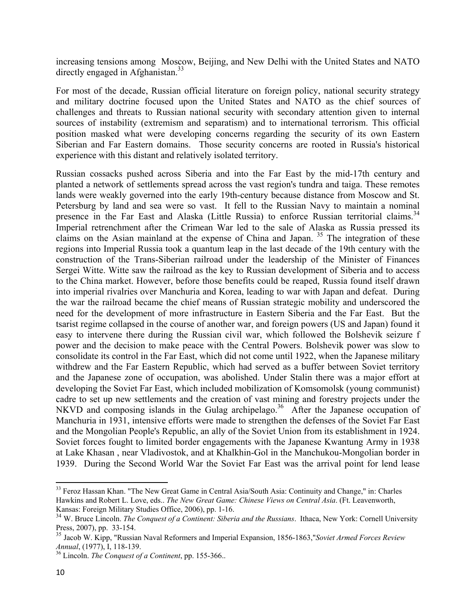increasing tensions among Moscow, Beijing, and New Delhi with the United States and NATO directly engaged in Afghanistan.<sup>33</sup>

For most of the decade, Russian official literature on foreign policy, national security strategy and military doctrine focused upon the United States and NATO as the chief sources of challenges and threats to Russian national security with secondary attention given to internal sources of instability (extremism and separatism) and to international terrorism. This official position masked what were developing concerns regarding the security of its own Eastern Siberian and Far Eastern domains. Those security concerns are rooted in Russia's historical experience with this distant and relatively isolated territory.

Russian cossacks pushed across Siberia and into the Far East by the mid-17th century and planted a network of settlements spread across the vast region's tundra and taiga. These remotes lands were weakly governed into the early 19th-century because distance from Moscow and St. Petersburg by land and sea were so vast. It fell to the Russian Navy to maintain a nominal presence in the Far East and Alaska (Little Russia) to enforce Russian territorial claims.<sup>34</sup> Imperial retrenchment after the Crimean War led to the sale of Alaska as Russia pressed its claims on the Asian mainland at the expense of China and Japan. 35 The integration of these regions into Imperial Russia took a quantum leap in the last decade of the 19th century with the construction of the Trans-Siberian railroad under the leadership of the Minister of Finances Sergei Witte. Witte saw the railroad as the key to Russian development of Siberia and to access to the China market. However, before those benefits could be reaped, Russia found itself drawn into imperial rivalries over Manchuria and Korea, leading to war with Japan and defeat. During the war the railroad became the chief means of Russian strategic mobility and underscored the need for the development of more infrastructure in Eastern Siberia and the Far East. But the tsarist regime collapsed in the course of another war, and foreign powers (US and Japan) found it easy to intervene there during the Russian civil war, which followed the Bolshevik seizure f power and the decision to make peace with the Central Powers. Bolshevik power was slow to consolidate its control in the Far East, which did not come until 1922, when the Japanese military withdrew and the Far Eastern Republic, which had served as a buffer between Soviet territory and the Japanese zone of occupation, was abolished. Under Stalin there was a major effort at developing the Soviet Far East, which included mobilization of Komsomolsk (young communist) cadre to set up new settlements and the creation of vast mining and forestry projects under the NKVD and composing islands in the Gulag archipelago.<sup>36</sup> After the Japanese occupation of Manchuria in 1931, intensive efforts were made to strengthen the defenses of the Soviet Far East and the Mongolian People's Republic, an ally of the Soviet Union from its establishment in 1924. Soviet forces fought to limited border engagements with the Japanese Kwantung Army in 1938 at Lake Khasan , near Vladivostok, and at Khalkhin-Gol in the Manchukou-Mongolian border in 1939. During the Second World War the Soviet Far East was the arrival point for lend lease

<sup>&</sup>lt;sup>33</sup> Feroz Hassan Khan. "The New Great Game in Central Asia/South Asia: Continuity and Change," in: Charles Hawkins and Robert L. Love, eds.. *The New Great Game: Chinese Views on Central Asia*. (Ft. Leavenworth, Kansas: Foreign Military Studies Office, 2006), pp. 1-16.

<sup>34</sup> W. Bruce Lincoln. *The Conquest of a Continent: Siberia and the Russians*. Ithaca, New York: Cornell University Press, 2007), pp. 33-154.

<sup>35</sup> Jacob W. Kipp, "Russian Naval Reformers and Imperial Expansion, 1856-1863,"*Soviet Armed Forces Review Annual*, (1977), I, 118-139.<br><sup>36</sup> Lincoln. *The Conquest of a Continent*, pp. 155-366..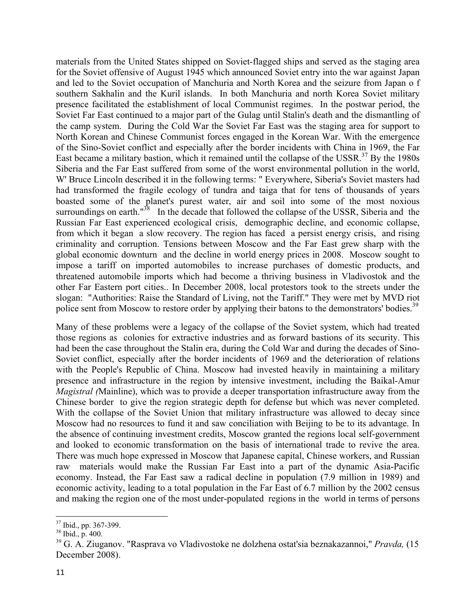materials from the United States shipped on Soviet-flagged ships and served as the staging area for the Soviet offensive of August 1945 which announced Soviet entry into the war against Japan and led to the Soviet occupation of Manchuria and North Korea and the seizure from Japan o f southern Sakhalin and the Kuril islands. In both Manchuria and north Korea Soviet military presence facilitated the establishment of local Communist regimes. In the postwar period, the Soviet Far East continued to a major part of the Gulag until Stalin's death and the dismantling of the camp system. During the Cold War the Soviet Far East was the staging area for support to North Korean and Chinese Communist forces engaged in the Korean War. With the emergence of the Sino-Soviet conflict and especially after the border incidents with China in 1969, the Far East became a military bastion, which it remained until the collapse of the USSR.<sup>37</sup> By the 1980s Siberia and the Far East suffered from some of the worst environmental pollution in the world, W' Bruce Lincoln described it in the following terms: " Everywhere, Siberia's Soviet masters had had transformed the fragile ecology of tundra and taiga that for tens of thousands of years boasted some of the planet's purest water, air and soil into some of the most noxious surroundings on earth."<sup>38</sup> In the decade that followed the collapse of the USSR, Siberia and the Russian Far East experienced ecological crisis, demographic decline, and economic collapse, from which it began a slow recovery. The region has faced a persist energy crisis, and rising criminality and corruption. Tensions between Moscow and the Far East grew sharp with the global economic downturn and the decline in world energy prices in 2008. Moscow sought to impose a tariff on imported automobiles to increase purchases of domestic products, and threatened automobile imports which had become a thriving business in Vladivostok and the other Far Eastern port cities.. In December 2008, local protestors took to the streets under the slogan: "Authorities: Raise the Standard of Living, not the Tariff." They were met by MVD riot police sent from Moscow to restore order by applying their batons to the demonstrators' bodies.<sup>39</sup>

Many of these problems were a legacy of the collapse of the Soviet system, which had treated those regions as colonies for extractive industries and as forward bastions of its security. This had been the case throughout the Stalin era, during the Cold War and during the decades of Sino-Soviet conflict, especially after the border incidents of 1969 and the deterioration of relations with the People's Republic of China. Moscow had invested heavily in maintaining a military presence and infrastructure in the region by intensive investment, including the Baikal-Amur *Magistral (*Mainline), which was to provide a deeper transportation infrastructure away from the Chinese border to give the region strategic depth for defense but which was never completed. With the collapse of the Soviet Union that military infrastructure was allowed to decay since Moscow had no resources to fund it and saw conciliation with Beijing to be to its advantage. In the absence of continuing investment credits, Moscow granted the regions local self-government and looked to economic transformation on the basis of international trade to revive the area. There was much hope expressed in Moscow that Japanese capital, Chinese workers, and Russian raw materials would make the Russian Far East into a part of the dynamic Asia-Pacific economy. Instead, the Far East saw a radical decline in population (7.9 million in 1989) and economic activity, leading to a total population in the Far East of 6.7 million by the 2002 census and making the region one of the most under-populated regions in the world in terms of persons

 <sup>37</sup> Ibid., pp. 367-399.

<sup>38</sup> Ibid., p. 400.

<sup>39</sup> G. A. Ziuganov. "Rasprava vo Vladivostoke ne dolzhena ostat'sia beznakazannoi," *Pravda,* (15 December 2008).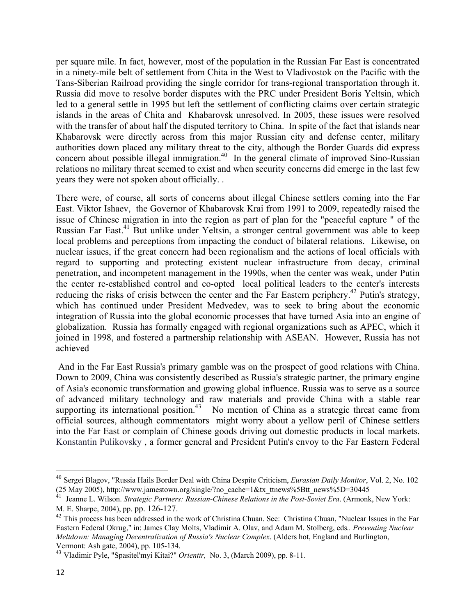per square mile. In fact, however, most of the population in the Russian Far East is concentrated in a ninety-mile belt of settlement from Chita in the West to Vladivostok on the Pacific with the Tans-Siberian Railroad providing the single corridor for trans-regional transportation through it. Russia did move to resolve border disputes with the PRC under President Boris Yeltsin, which led to a general settle in 1995 but left the settlement of conflicting claims over certain strategic islands in the areas of Chita and Khabarovsk unresolved. In 2005, these issues were resolved with the transfer of about half the disputed territory to China. In spite of the fact that islands near Khabarovsk were directly across from this major Russian city and defense center, military authorities down placed any military threat to the city, although the Border Guards did express concern about possible illegal immigration.<sup>40</sup> In the general climate of improved Sino-Russian relations no military threat seemed to exist and when security concerns did emerge in the last few years they were not spoken about officially. .

There were, of course, all sorts of concerns about illegal Chinese settlers coming into the Far East. Viktor Ishaev, the Governor of Khabarovsk Krai from 1991 to 2009, repeatedly raised the issue of Chinese migration in into the region as part of plan for the "peaceful capture " of the Russian Far East.<sup>41</sup> But unlike under Yeltsin, a stronger central government was able to keep local problems and perceptions from impacting the conduct of bilateral relations. Likewise, on nuclear issues, if the great concern had been regionalism and the actions of local officials with regard to supporting and protecting existent nuclear infrastructure from decay, criminal penetration, and incompetent management in the 1990s, when the center was weak, under Putin the center re-established control and co-opted local political leaders to the center's interests reducing the risks of crisis between the center and the Far Eastern periphery.<sup>42</sup> Putin's strategy, which has continued under President Medvedev, was to seek to bring about the economic integration of Russia into the global economic processes that have turned Asia into an engine of globalization. Russia has formally engaged with regional organizations such as APEC, which it joined in 1998, and fostered a partnership relationship with ASEAN. However, Russia has not achieved

 And in the Far East Russia's primary gamble was on the prospect of good relations with China. Down to 2009, China was consistently described as Russia's strategic partner, the primary engine of Asia's economic transformation and growing global influence. Russia was to serve as a source of advanced military technology and raw materials and provide China with a stable rear supporting its international position.<sup>43</sup> No mention of China as a strategic threat came from official sources, although commentators might worry about a yellow peril of Chinese settlers into the Far East or complain of Chinese goods driving out domestic products in local markets. Konstantin Pulikovsky , a former general and President Putin's envoy to the Far Eastern Federal

<sup>40</sup> Sergei Blagov, "Russia Hails Border Deal with China Despite Criticism, *Eurasian Daily Monitor*, Vol. 2, No. 102 (25 May 2005), http://www.jamestown.org/single/?no\_cache=1&tx\_ttnews%5Btt\_news%5D=30445

<sup>41</sup> Jeanne L. Wilson. *Strategic Partners: Russian-Chinese Relations in the Post-Soviet Era*. (Armonk, New York: M. E. Sharpe, 2004), pp. pp. 126-127.

<sup>&</sup>lt;sup>42</sup> This process has been addressed in the work of Christina Chuan. See: Christina Chuan, "Nuclear Issues in the Far Eastern Federal Okrug," in: James Clay Molts, Vladimir A. Olav, and Adam M. Stolberg, eds*.. Preventing Nuclear Meltdown: Managing Decentralization of Russia's Nuclear Complex*. (Alders hot, England and Burlington, Vermont: Ash gate, 2004), pp. 105-134.

<sup>43</sup> Vladimir Pyle, "Spasitel'myi Kitai?" *Orientir,* No. 3, (March 2009), pp. 8-11.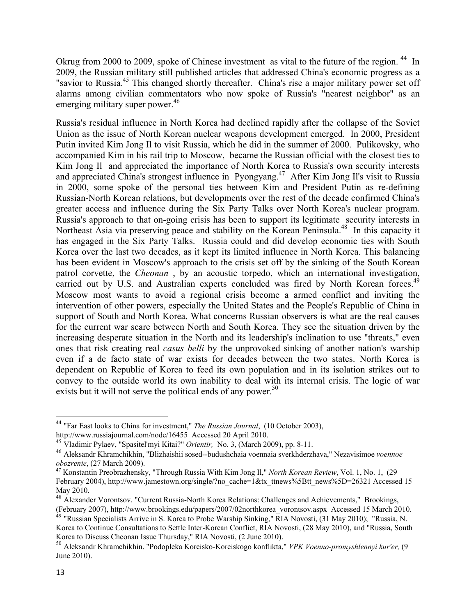Okrug from 2000 to 2009, spoke of Chinese investment as vital to the future of the region. <sup>44</sup> In 2009, the Russian military still published articles that addressed China's economic progress as a "savior to Russia.<sup>45</sup> This changed shortly thereafter. China's rise a major military power set off alarms among civilian commentators who now spoke of Russia's "nearest neighbor" as an emerging military super power.<sup>46</sup>

Russia's residual influence in North Korea had declined rapidly after the collapse of the Soviet Union as the issue of North Korean nuclear weapons development emerged. In 2000, President Putin invited Kim Jong Il to visit Russia, which he did in the summer of 2000. Pulikovsky, who accompanied Kim in his rail trip to Moscow, became the Russian official with the closest ties to Kim Jong Il and appreciated the importance of North Korea to Russia's own security interests and appreciated China's strongest influence in Pyongyang.<sup>47</sup> After Kim Jong Il's visit to Russia in 2000, some spoke of the personal ties between Kim and President Putin as re-defining Russian-North Korean relations, but developments over the rest of the decade confirmed China's greater access and influence during the Six Party Talks over North Korea's nuclear program. Russia's approach to that on-going crisis has been to support its legitimate security interests in Northeast Asia via preserving peace and stability on the Korean Peninsula.<sup>48</sup> In this capacity it has engaged in the Six Party Talks. Russia could and did develop economic ties with South Korea over the last two decades, as it kept its limited influence in North Korea. This balancing has been evident in Moscow's approach to the crisis set off by the sinking of the South Korean patrol corvette, the *Cheonan* , by an acoustic torpedo, which an international investigation, carried out by U.S. and Australian experts concluded was fired by North Korean forces.<sup>49</sup> Moscow most wants to avoid a regional crisis become a armed conflict and inviting the intervention of other powers, especially the United States and the People's Republic of China in support of South and North Korea. What concerns Russian observers is what are the real causes for the current war scare between North and South Korea. They see the situation driven by the increasing desperate situation in the North and its leadership's inclination to use "threats," even ones that risk creating real *casus belli* by the unprovoked sinking of another nation's warship even if a de facto state of war exists for decades between the two states. North Korea is dependent on Republic of Korea to feed its own population and in its isolation strikes out to convey to the outside world its own inability to deal with its internal crisis. The logic of war exists but it will not serve the political ends of any power.<sup>50</sup>

<sup>44</sup> "Far East looks to China for investment," *The Russian Journal*, (10 October 2003), http://www.russiajournal.com/node/16455 Accessed 20 April 2010.

<sup>45</sup> Vladimir Pylaev, "Spasitel'myi Kitai?" *Orientir,* No. 3, (March 2009), pp. 8-11.

<sup>46</sup> Aleksandr Khramchikhin, "Blizhaishii sosed--budushchaia voennaia sverkhderzhava," Nezavisimoe *voennoe obozrenie*, (27 March 2009). 47 Konstantin Preobrazhensky, "Through Russia With Kim Jong Il," *North Korean Review*, Vol. 1, No. 1, (29

February 2004), http://www.jamestown.org/single/?no\_cache=1&tx\_ttnews%5Btt\_news%5D=26321 Accessed 15 May 2010.

<sup>48</sup> Alexander Vorontsov. "Current Russia-North Korea Relations: Challenges and Achievements," Brookings, (February 2007), http://www.brookings.edu/papers/2007/02northkorea\_vorontsov.aspx Accessed 15 March 2010.

<sup>49</sup> "Russian Specialists Arrive in S. Korea to Probe Warship Sinking," RIA Novosti, (31 May 2010); "Russia, N. Korea to Continue Consultations to Settle Inter-Korean Conflict, RIA Novosti, (28 May 2010), and "Russia, South Korea to Discuss Cheonan Issue Thursday," RIA Novosti, (2 June 2010).

<sup>50</sup> Aleksandr Khramchikhin. "Podopleka Koreisko-Koreiskogo konflikta," *VPK Voenno-promyshlennyi kur'er,* (9 June 2010).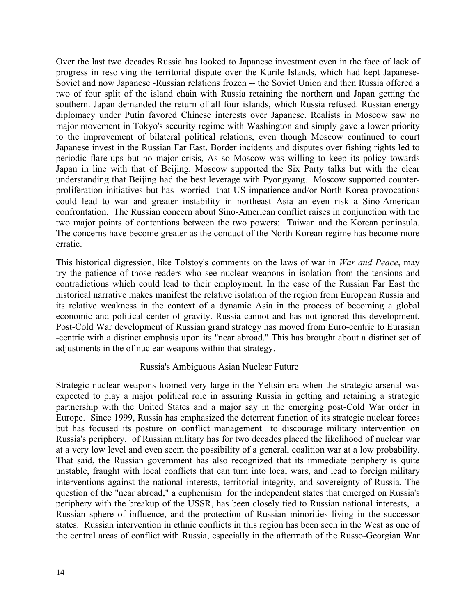Over the last two decades Russia has looked to Japanese investment even in the face of lack of progress in resolving the territorial dispute over the Kurile Islands, which had kept Japanese-Soviet and now Japanese -Russian relations frozen -- the Soviet Union and then Russia offered a two of four split of the island chain with Russia retaining the northern and Japan getting the southern. Japan demanded the return of all four islands, which Russia refused. Russian energy diplomacy under Putin favored Chinese interests over Japanese. Realists in Moscow saw no major movement in Tokyo's security regime with Washington and simply gave a lower priority to the improvement of bilateral political relations, even though Moscow continued to court Japanese invest in the Russian Far East. Border incidents and disputes over fishing rights led to periodic flare-ups but no major crisis, As so Moscow was willing to keep its policy towards Japan in line with that of Beijing. Moscow supported the Six Party talks but with the clear understanding that Beijing had the best leverage with Pyongyang. Moscow supported counterproliferation initiatives but has worried that US impatience and/or North Korea provocations could lead to war and greater instability in northeast Asia an even risk a Sino-American confrontation. The Russian concern about Sino-American conflict raises in conjunction with the two major points of contentions between the two powers: Taiwan and the Korean peninsula. The concerns have become greater as the conduct of the North Korean regime has become more erratic.

This historical digression, like Tolstoy's comments on the laws of war in *War and Peace*, may try the patience of those readers who see nuclear weapons in isolation from the tensions and contradictions which could lead to their employment. In the case of the Russian Far East the historical narrative makes manifest the relative isolation of the region from European Russia and its relative weakness in the context of a dynamic Asia in the process of becoming a global economic and political center of gravity. Russia cannot and has not ignored this development. Post-Cold War development of Russian grand strategy has moved from Euro-centric to Eurasian -centric with a distinct emphasis upon its "near abroad." This has brought about a distinct set of adjustments in the of nuclear weapons within that strategy.

### Russia's Ambiguous Asian Nuclear Future

Strategic nuclear weapons loomed very large in the Yeltsin era when the strategic arsenal was expected to play a major political role in assuring Russia in getting and retaining a strategic partnership with the United States and a major say in the emerging post-Cold War order in Europe. Since 1999, Russia has emphasized the deterrent function of its strategic nuclear forces but has focused its posture on conflict management to discourage military intervention on Russia's periphery. of Russian military has for two decades placed the likelihood of nuclear war at a very low level and even seem the possibility of a general, coalition war at a low probability. That said, the Russian government has also recognized that its immediate periphery is quite unstable, fraught with local conflicts that can turn into local wars, and lead to foreign military interventions against the national interests, territorial integrity, and sovereignty of Russia. The question of the "near abroad," a euphemism for the independent states that emerged on Russia's periphery with the breakup of the USSR, has been closely tied to Russian national interests, a Russian sphere of influence, and the protection of Russian minorities living in the successor states. Russian intervention in ethnic conflicts in this region has been seen in the West as one of the central areas of conflict with Russia, especially in the aftermath of the Russo-Georgian War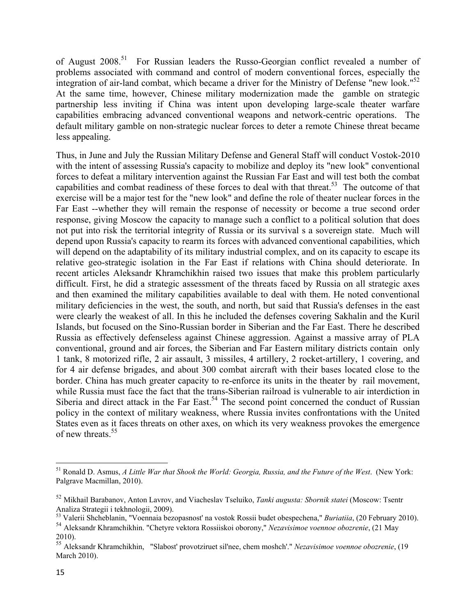of August 2008.<sup>51</sup> For Russian leaders the Russo-Georgian conflict revealed a number of problems associated with command and control of modern conventional forces, especially the integration of air-land combat, which became a driver for the Ministry of Defense "new look."52 At the same time, however, Chinese military modernization made the gamble on strategic partnership less inviting if China was intent upon developing large-scale theater warfare capabilities embracing advanced conventional weapons and network-centric operations. The default military gamble on non-strategic nuclear forces to deter a remote Chinese threat became less appealing.

Thus, in June and July the Russian Military Defense and General Staff will conduct Vostok-2010 with the intent of assessing Russia's capacity to mobilize and deploy its "new look" conventional forces to defeat a military intervention against the Russian Far East and will test both the combat capabilities and combat readiness of these forces to deal with that threat.<sup>53</sup> The outcome of that exercise will be a major test for the "new look" and define the role of theater nuclear forces in the Far East --whether they will remain the response of necessity or become a true second order response, giving Moscow the capacity to manage such a conflict to a political solution that does not put into risk the territorial integrity of Russia or its survival s a sovereign state. Much will depend upon Russia's capacity to rearm its forces with advanced conventional capabilities, which will depend on the adaptability of its military industrial complex, and on its capacity to escape its relative geo-strategic isolation in the Far East if relations with China should deteriorate. In recent articles Aleksandr Khramchikhin raised two issues that make this problem particularly difficult. First, he did a strategic assessment of the threats faced by Russia on all strategic axes and then examined the military capabilities available to deal with them. He noted conventional military deficiencies in the west, the south, and north, but said that Russia's defenses in the east were clearly the weakest of all. In this he included the defenses covering Sakhalin and the Kuril Islands, but focused on the Sino-Russian border in Siberian and the Far East. There he described Russia as effectively defenseless against Chinese aggression. Against a massive array of PLA conventional, ground and air forces, the Siberian and Far Eastern military districts contain only 1 tank, 8 motorized rifle, 2 air assault, 3 missiles, 4 artillery, 2 rocket-artillery, 1 covering, and for 4 air defense brigades, and about 300 combat aircraft with their bases located close to the border. China has much greater capacity to re-enforce its units in the theater by rail movement, while Russia must face the fact that the trans-Siberian railroad is vulnerable to air interdiction in Siberia and direct attack in the Far East.<sup>54</sup> The second point concerned the conduct of Russian policy in the context of military weakness, where Russia invites confrontations with the United States even as it faces threats on other axes, on which its very weakness provokes the emergence of new threats.<sup>55</sup>

 51 Ronald D. Asmus, *A Little War that Shook the World: Georgia, Russia, and the Future of the West*. (New York: Palgrave Macmillan, 2010).

<sup>52</sup> Mikhail Barabanov, Anton Lavrov, and Viacheslav Tseluiko, *Tanki augusta: Sbornik statei* (Moscow: Tsentr Analiza Strategii i tekhnologii, 2009).

<sup>53</sup> Valerii Shcheblanin, "Voennaia bezopasnost' na vostok Rossii budet obespechena," *Buriatiia*, (20 February 2010).

<sup>54</sup> Aleksandr Khramchikhin. "Chetyre vektora Rossiiskoi oborony," *Nezavisimoe voennoe obozrenie*, (21 May 2010).

<sup>55</sup> Aleksandr Khramchikhin, "Slabost' provotziruet sil'nee, chem moshch'." *Nezavisimoe voennoe obozrenie*, (19 March 2010).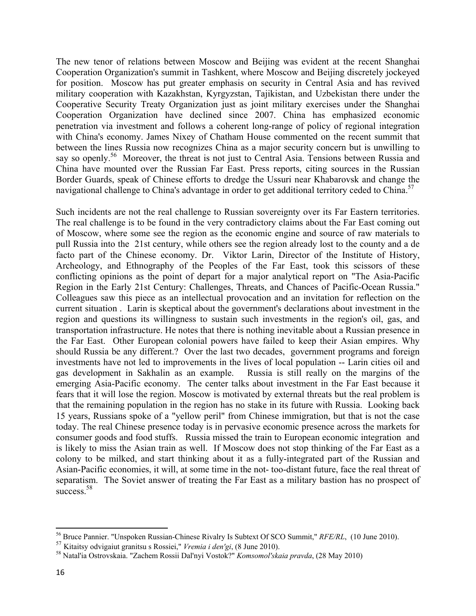The new tenor of relations between Moscow and Beijing was evident at the recent Shanghai Cooperation Organization's summit in Tashkent, where Moscow and Beijing discretely jockeyed for position. Moscow has put greater emphasis on security in Central Asia and has revived military cooperation with Kazakhstan, Kyrgyzstan, Tajikistan, and Uzbekistan there under the Cooperative Security Treaty Organization just as joint military exercises under the Shanghai Cooperation Organization have declined since 2007. China has emphasized economic penetration via investment and follows a coherent long-range of policy of regional integration with China's economy. James Nixey of Chatham House commented on the recent summit that between the lines Russia now recognizes China as a major security concern but is unwilling to say so openly.<sup>56</sup> Moreover, the threat is not just to Central Asia. Tensions between Russia and China have mounted over the Russian Far East. Press reports, citing sources in the Russian Border Guards, speak of Chinese efforts to dredge the Ussuri near Khabarovsk and change the navigational challenge to China's advantage in order to get additional territory ceded to China.<sup>57</sup>

Such incidents are not the real challenge to Russian sovereignty over its Far Eastern territories. The real challenge is to be found in the very contradictory claims about the Far East coming out of Moscow, where some see the region as the economic engine and source of raw materials to pull Russia into the 21st century, while others see the region already lost to the county and a de facto part of the Chinese economy. Dr. Viktor Larin, Director of the Institute of History, Archeology, and Ethnography of the Peoples of the Far East, took this scissors of these conflicting opinions as the point of depart for a major analytical report on "The Asia-Pacific Region in the Early 21st Century: Challenges, Threats, and Chances of Pacific-Ocean Russia." Colleagues saw this piece as an intellectual provocation and an invitation for reflection on the current situation . Larin is skeptical about the government's declarations about investment in the region and questions its willingness to sustain such investments in the region's oil, gas, and transportation infrastructure. He notes that there is nothing inevitable about a Russian presence in the Far East. Other European colonial powers have failed to keep their Asian empires. Why should Russia be any different.? Over the last two decades, government programs and foreign investments have not led to improvements in the lives of local population -- Larin cities oil and gas development in Sakhalin as an example. Russia is still really on the margins of the emerging Asia-Pacific economy. The center talks about investment in the Far East because it fears that it will lose the region. Moscow is motivated by external threats but the real problem is that the remaining population in the region has no stake in its future with Russia. Looking back 15 years, Russians spoke of a "yellow peril" from Chinese immigration, but that is not the case today. The real Chinese presence today is in pervasive economic presence across the markets for consumer goods and food stuffs. Russia missed the train to European economic integration and is likely to miss the Asian train as well. If Moscow does not stop thinking of the Far East as a colony to be milked, and start thinking about it as a fully-integrated part of the Russian and Asian-Pacific economies, it will, at some time in the not- too-distant future, face the real threat of separatism. The Soviet answer of treating the Far East as a military bastion has no prospect of success $^{58}$ 

<sup>56</sup> Bruce Pannier. "Unspoken Russian-Chinese Rivalry Is Subtext Of SCO Summit," *RFE/RL*, (10 June 2010).

<sup>57</sup> Kitaitsy odvigaiut granitsu s Rossiei," *Vremia i den'gi*, (8 June 2010). 58 Natal'ia Ostrovskaia. "Zachem Rossii Dal'nyi Vostok?" *Komsomol'skaia pravda*, (28 May 2010)